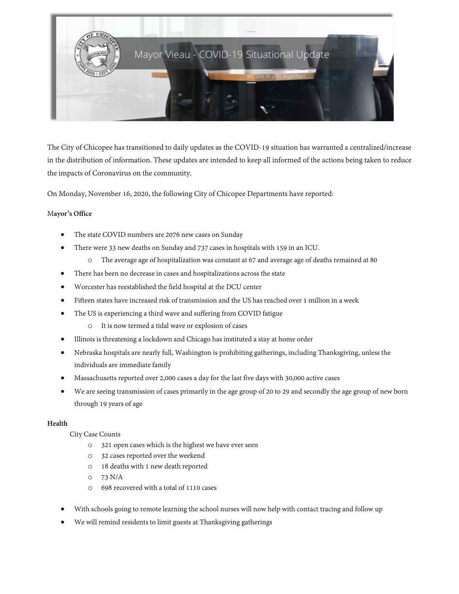

The City of Chicopee has transitioned to daily updates as the COVID-19 situation has warranted a centralized/increase in the distribution of information. These updates are intended to keep all informed of the actions being taken to reduce the impacts of Coronavirus on the community.

On Monday, November 16, 2020, the following City of Chicopee Departments have reported:

## M**ayor's Office**

- The state COVID numbers are 2076 new cases on Sunday
- There were 33 new deaths on Sunday and 737 cases in hospitals with 159 in an ICU.
	- o The average age of hospitalization was constant at 67 and average age of deaths remained at 80
- There has been no decrease in cases and hospitalizations across the state
- Worcester has reestablished the field hospital at the DCU center
- Fifteen states have increased risk of transmission and the US has reached over 1 million in a week
- The US is experiencing a third wave and suffering from COVID fatigue
	- o It is now termed a tidal wave or explosion of cases
- Illinois is threatening a lockdown and Chicago has instituted a stay at home order
- Nebraska hospitals are nearly full, Washington is prohibiting gatherings, including Thanksgiving, unless the individuals are immediate family
- Massachusetts reported over 2,000 cases a day for the last five days with 30,000 active cases
- We are seeing transmission of cases primarily in the age group of 20 to 29 and secondly the age group of new born through 19 years of age

### **Health**

### City Case Counts

- o 321 open cases which is the highest we have ever seen
- o 32 cases reported over the weekend
- o 18 deaths with 1 new death reported
- o 73 N/A
- o 698 recovered with a total of 1110 cases
- With schools going to remote learning the school nurses will now help with contact tracing and follow up
- We will remind residents to limit guests at Thanksgiving gatherings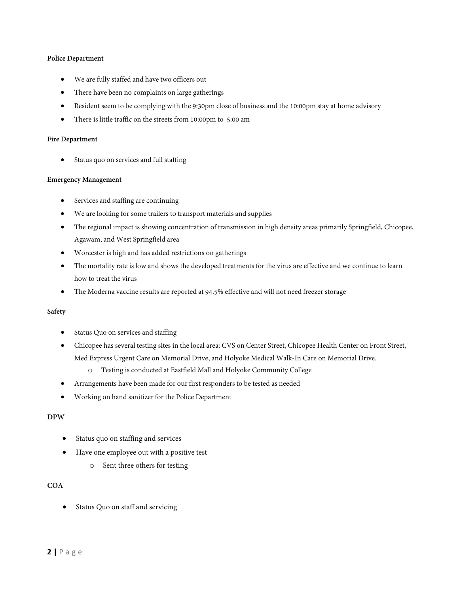## **Police Department**

- We are fully staffed and have two officers out
- There have been no complaints on large gatherings
- Resident seem to be complying with the 9:30pm close of business and the 10:00pm stay at home advisory
- There is little traffic on the streets from 10:00pm to 5:00 am

#### **Fire Department**

Status quo on services and full staffing

### **Emergency Management**

- Services and staffing are continuing
- We are looking for some trailers to transport materials and supplies
- The regional impact is showing concentration of transmission in high density areas primarily Springfield, Chicopee, Agawam, and West Springfield area
- Worcester is high and has added restrictions on gatherings
- The mortality rate is low and shows the developed treatments for the virus are effective and we continue to learn how to treat the virus
- The Moderna vaccine results are reported at 94.5% effective and will not need freezer storage

### **Safety**

- Status Quo on services and staffing
- Chicopee has several testing sites in the local area: CVS on Center Street, Chicopee Health Center on Front Street, Med Express Urgent Care on Memorial Drive, and Holyoke Medical Walk-In Care on Memorial Drive.
	- o Testing is conducted at Eastfield Mall and Holyoke Community College
- Arrangements have been made for our first responders to be tested as needed
- Working on hand sanitizer for the Police Department

## **DPW**

- Status quo on staffing and services
- Have one employee out with a positive test
	- o Sent three others for testing

## **COA**

Status Quo on staff and servicing